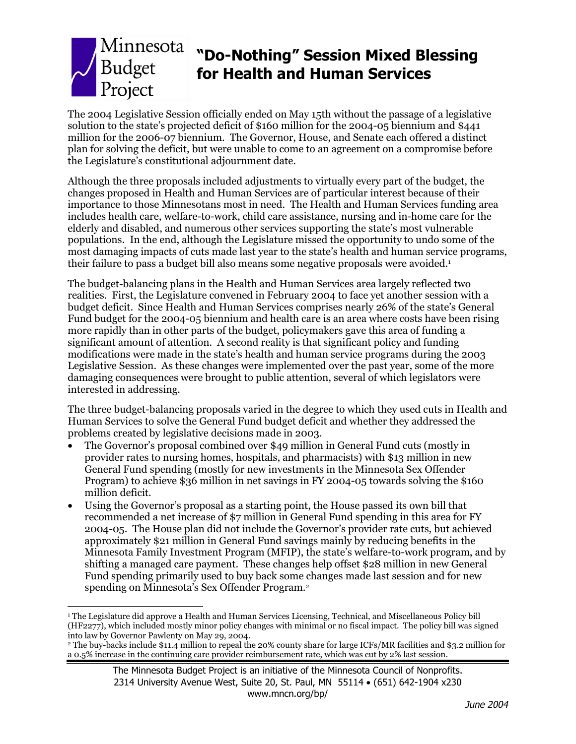

# **"Do-Nothing" Session Mixed Blessing for Health and Human Services**

The 2004 Legislative Session officially ended on May 15th without the passage of a legislative solution to the state's projected deficit of \$160 million for the 2004-05 biennium and \$441 million for the 2006-07 biennium. The Governor, House, and Senate each offered a distinct plan for solving the deficit, but were unable to come to an agreement on a compromise before the Legislature's constitutional adjournment date.

Although the three proposals included adjustments to virtually every part of the budget, the changes proposed in Health and Human Services are of particular interest because of their importance to those Minnesotans most in need. The Health and Human Services funding area includes health care, welfare-to-work, child care assistance, nursing and in-home care for the elderly and disabled, and numerous other services supporting the state's most vulnerable populations. In the end, although the Legislature missed the opportunity to undo some of the most damaging impacts of cuts made last year to the state's health and human service programs, their failure to pass a budget bill also means some negative proposals were avoided.<sup>1</sup>

The budget-balancing plans in the Health and Human Services area largely reflected two realities. First, the Legislature convened in February 2004 to face yet another session with a budget deficit. Since Health and Human Services comprises nearly 26% of the state's General Fund budget for the 2004-05 biennium and health care is an area where costs have been rising more rapidly than in other parts of the budget, policymakers gave this area of funding a significant amount of attention. A second reality is that significant policy and funding modifications were made in the state's health and human service programs during the 2003 Legislative Session. As these changes were implemented over the past year, some of the more damaging consequences were brought to public attention, several of which legislators were interested in addressing.

The three budget-balancing proposals varied in the degree to which they used cuts in Health and Human Services to solve the General Fund budget deficit and whether they addressed the problems created by legislative decisions made in 2003.

- The Governor's proposal combined over \$49 million in General Fund cuts (mostly in provider rates to nursing homes, hospitals, and pharmacists) with \$13 million in new General Fund spending (mostly for new investments in the Minnesota Sex Offender Program) to achieve \$36 million in net savings in FY 2004-05 towards solving the \$160 million deficit.
- Using the Governor's proposal as a starting point, the House passed its own bill that recommended a net increase of \$7 million in General Fund spending in this area for FY 2004-05. The House plan did not include the Governor's provider rate cuts, but achieved approximately \$21 million in General Fund savings mainly by reducing benefits in the Minnesota Family Investment Program (MFIP), the state's welfare-to-work program, and by shifting a managed care payment. These changes help offset \$28 million in new General Fund spending primarily used to buy back some changes made last session and for new spending on Minnesota's Sex Offender Program.2

<sup>&</sup>lt;u>.</u> 1 The Legislature did approve a Health and Human Services Licensing, Technical, and Miscellaneous Policy bill (HF2277), which included mostly minor policy changes with minimal or no fiscal impact. The policy bill was signed into law by Governor Pawlenty on May 29, 2004.

<sup>2</sup> The buy-backs include \$11.4 million to repeal the 20% county share for large ICFs/MR facilities and \$3.2 million for a 0.5% increase in the continuing care provider reimbursement rate, which was cut by 2% last session.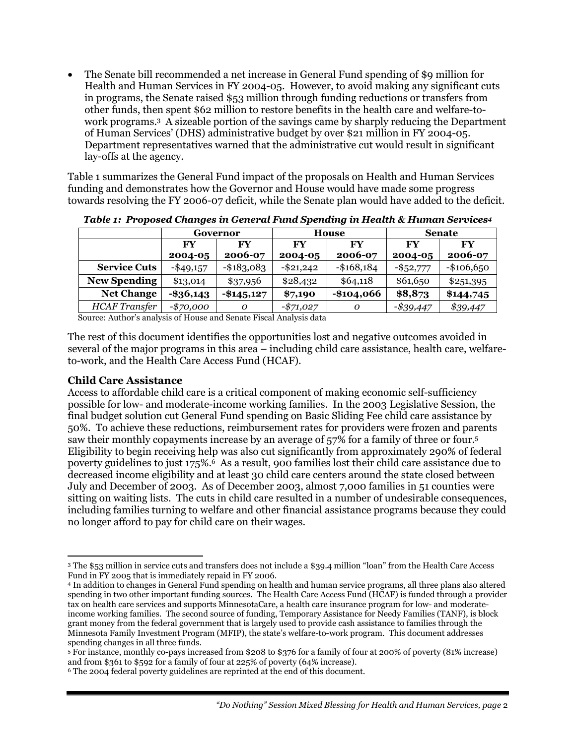• The Senate bill recommended a net increase in General Fund spending of \$9 million for Health and Human Services in FY 2004-05. However, to avoid making any significant cuts in programs, the Senate raised \$53 million through funding reductions or transfers from other funds, then spent \$62 million to restore benefits in the health care and welfare-towork programs.3 A sizeable portion of the savings came by sharply reducing the Department of Human Services' (DHS) administrative budget by over \$21 million in FY 2004-05. Department representatives warned that the administrative cut would result in significant lay-offs at the agency.

Table 1 summarizes the General Fund impact of the proposals on Health and Human Services funding and demonstrates how the Governor and House would have made some progress towards resolving the FY 2006-07 deficit, while the Senate plan would have added to the deficit.

|                      |              | Governor      |            | House         |              | <b>Senate</b> |
|----------------------|--------------|---------------|------------|---------------|--------------|---------------|
|                      | FY           | FY            | <b>FY</b>  | FY            | FY           | <b>FY</b>     |
|                      | 2004-05      | 2006-07       | 2004-05    | 2006-07       | 2004-05      | 2006-07       |
| <b>Service Cuts</b>  | $-$ \$49,157 | $-$ \$183,083 | -\$21,242  | $-$ \$168,184 | $-$ \$52,777 | $-$106,650$   |
| <b>New Spending</b>  | \$13,014     | \$37,956      | \$28,432   | \$64,118      | \$61,650     | \$251,395     |
| <b>Net Change</b>    | $-$ \$36,143 | $-145,127$    | \$7,190    | $-$104,066$   | \$8,873      | \$144,745     |
| <b>HCAF</b> Transfer | $-$70,000$   | Ω             | $-$71,027$ | 0             | $-$ \$39,447 | \$39,447      |

*Table 1: Proposed Changes in General Fund Spending in Health & Human Services4*

Source: Author's analysis of House and Senate Fiscal Analysis data

The rest of this document identifies the opportunities lost and negative outcomes avoided in several of the major programs in this area – including child care assistance, health care, welfareto-work, and the Health Care Access Fund (HCAF).

#### **Child Care Assistance**

Access to affordable child care is a critical component of making economic self-sufficiency possible for low- and moderate-income working families. In the 2003 Legislative Session, the final budget solution cut General Fund spending on Basic Sliding Fee child care assistance by 50%. To achieve these reductions, reimbursement rates for providers were frozen and parents saw their monthly copayments increase by an average of 57% for a family of three or four.5 Eligibility to begin receiving help was also cut significantly from approximately 290% of federal poverty guidelines to just 175%.6 As a result, 900 families lost their child care assistance due to decreased income eligibility and at least 30 child care centers around the state closed between July and December of 2003. As of December 2003, almost 7,000 families in 51 counties were sitting on waiting lists. The cuts in child care resulted in a number of undesirable consequences, including families turning to welfare and other financial assistance programs because they could no longer afford to pay for child care on their wages.

 $\overline{a}$ 3 The \$53 million in service cuts and transfers does not include a \$39.4 million "loan" from the Health Care Access Fund in FY 2005 that is immediately repaid in FY 2006.

<sup>4</sup> In addition to changes in General Fund spending on health and human service programs, all three plans also altered spending in two other important funding sources. The Health Care Access Fund (HCAF) is funded through a provider tax on health care services and supports MinnesotaCare, a health care insurance program for low- and moderateincome working families. The second source of funding, Temporary Assistance for Needy Families (TANF), is block grant money from the federal government that is largely used to provide cash assistance to families through the Minnesota Family Investment Program (MFIP), the state's welfare-to-work program. This document addresses spending changes in all three funds.

<sup>5</sup> For instance, monthly co-pays increased from \$208 to \$376 for a family of four at 200% of poverty (81% increase) and from \$361 to \$592 for a family of four at 225% of poverty (64% increase).

<sup>6</sup> The 2004 federal poverty guidelines are reprinted at the end of this document.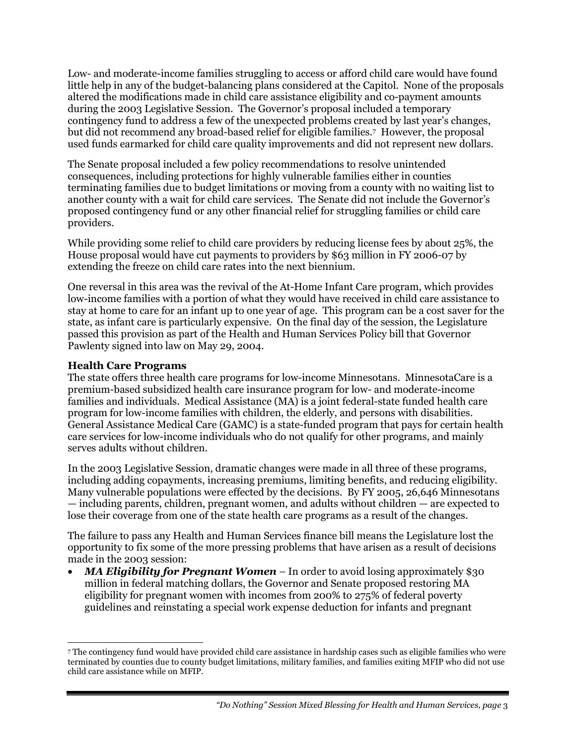Low- and moderate-income families struggling to access or afford child care would have found little help in any of the budget-balancing plans considered at the Capitol. None of the proposals altered the modifications made in child care assistance eligibility and co-payment amounts during the 2003 Legislative Session. The Governor's proposal included a temporary contingency fund to address a few of the unexpected problems created by last year's changes, but did not recommend any broad-based relief for eligible families.7 However, the proposal used funds earmarked for child care quality improvements and did not represent new dollars.

The Senate proposal included a few policy recommendations to resolve unintended consequences, including protections for highly vulnerable families either in counties terminating families due to budget limitations or moving from a county with no waiting list to another county with a wait for child care services. The Senate did not include the Governor's proposed contingency fund or any other financial relief for struggling families or child care providers.

While providing some relief to child care providers by reducing license fees by about 25%, the House proposal would have cut payments to providers by \$63 million in FY 2006-07 by extending the freeze on child care rates into the next biennium.

One reversal in this area was the revival of the At-Home Infant Care program, which provides low-income families with a portion of what they would have received in child care assistance to stay at home to care for an infant up to one year of age. This program can be a cost saver for the state, as infant care is particularly expensive. On the final day of the session, the Legislature passed this provision as part of the Health and Human Services Policy bill that Governor Pawlenty signed into law on May 29, 2004.

## **Health Care Programs**

-

The state offers three health care programs for low-income Minnesotans. MinnesotaCare is a premium-based subsidized health care insurance program for low- and moderate-income families and individuals. Medical Assistance (MA) is a joint federal-state funded health care program for low-income families with children, the elderly, and persons with disabilities. General Assistance Medical Care (GAMC) is a state-funded program that pays for certain health care services for low-income individuals who do not qualify for other programs, and mainly serves adults without children.

In the 2003 Legislative Session, dramatic changes were made in all three of these programs, including adding copayments, increasing premiums, limiting benefits, and reducing eligibility. Many vulnerable populations were effected by the decisions. By FY 2005, 26,646 Minnesotans — including parents, children, pregnant women, and adults without children — are expected to lose their coverage from one of the state health care programs as a result of the changes.

The failure to pass any Health and Human Services finance bill means the Legislature lost the opportunity to fix some of the more pressing problems that have arisen as a result of decisions made in the 2003 session:

• *MA Eligibility for Pregnant Women –* In order to avoid losing approximately \$30 million in federal matching dollars, the Governor and Senate proposed restoring MA eligibility for pregnant women with incomes from 200% to 275% of federal poverty guidelines and reinstating a special work expense deduction for infants and pregnant

<sup>7</sup> The contingency fund would have provided child care assistance in hardship cases such as eligible families who were terminated by counties due to county budget limitations, military families, and families exiting MFIP who did not use child care assistance while on MFIP.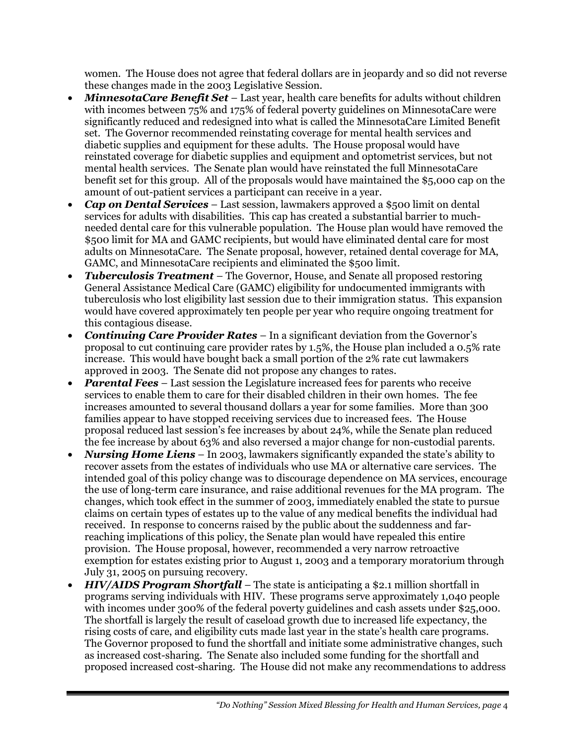women. The House does not agree that federal dollars are in jeopardy and so did not reverse these changes made in the 2003 Legislative Session.

- *MinnesotaCare Benefit Set* Last year, health care benefits for adults without children with incomes between 75% and 175% of federal poverty guidelines on MinnesotaCare were significantly reduced and redesigned into what is called the MinnesotaCare Limited Benefit set. The Governor recommended reinstating coverage for mental health services and diabetic supplies and equipment for these adults. The House proposal would have reinstated coverage for diabetic supplies and equipment and optometrist services, but not mental health services. The Senate plan would have reinstated the full MinnesotaCare benefit set for this group. All of the proposals would have maintained the \$5,000 cap on the amount of out-patient services a participant can receive in a year.
- *Cap on Dental Services* Last session, lawmakers approved a \$500 limit on dental services for adults with disabilities. This cap has created a substantial barrier to muchneeded dental care for this vulnerable population. The House plan would have removed the \$500 limit for MA and GAMC recipients, but would have eliminated dental care for most adults on MinnesotaCare. The Senate proposal, however, retained dental coverage for MA, GAMC, and MinnesotaCare recipients and eliminated the \$500 limit.
- *Tuberculosis Treatment*  The Governor, House, and Senate all proposed restoring General Assistance Medical Care (GAMC) eligibility for undocumented immigrants with tuberculosis who lost eligibility last session due to their immigration status. This expansion would have covered approximately ten people per year who require ongoing treatment for this contagious disease.
- *Continuing Care Provider Rates* In a significant deviation from the Governor's proposal to cut continuing care provider rates by 1.5%, the House plan included a 0.5% rate increase. This would have bought back a small portion of the 2% rate cut lawmakers approved in 2003. The Senate did not propose any changes to rates.
- *Parental Fees* Last session the Legislature increased fees for parents who receive services to enable them to care for their disabled children in their own homes. The fee increases amounted to several thousand dollars a year for some families. More than 300 families appear to have stopped receiving services due to increased fees. The House proposal reduced last session's fee increases by about 24%, while the Senate plan reduced the fee increase by about 63% and also reversed a major change for non-custodial parents.
- *Nursing Home Liens* In 2003, lawmakers significantly expanded the state's ability to recover assets from the estates of individuals who use MA or alternative care services. The intended goal of this policy change was to discourage dependence on MA services, encourage the use of long-term care insurance, and raise additional revenues for the MA program. The changes, which took effect in the summer of 2003, immediately enabled the state to pursue claims on certain types of estates up to the value of any medical benefits the individual had received. In response to concerns raised by the public about the suddenness and farreaching implications of this policy, the Senate plan would have repealed this entire provision. The House proposal, however, recommended a very narrow retroactive exemption for estates existing prior to August 1, 2003 and a temporary moratorium through July 31, 2005 on pursuing recovery.
- *HIV/AIDS Program Shortfall* The state is anticipating a \$2.1 million shortfall in programs serving individuals with HIV. These programs serve approximately 1,040 people with incomes under 300% of the federal poverty guidelines and cash assets under \$25,000. The shortfall is largely the result of caseload growth due to increased life expectancy, the rising costs of care, and eligibility cuts made last year in the state's health care programs. The Governor proposed to fund the shortfall and initiate some administrative changes, such as increased cost-sharing. The Senate also included some funding for the shortfall and proposed increased cost-sharing. The House did not make any recommendations to address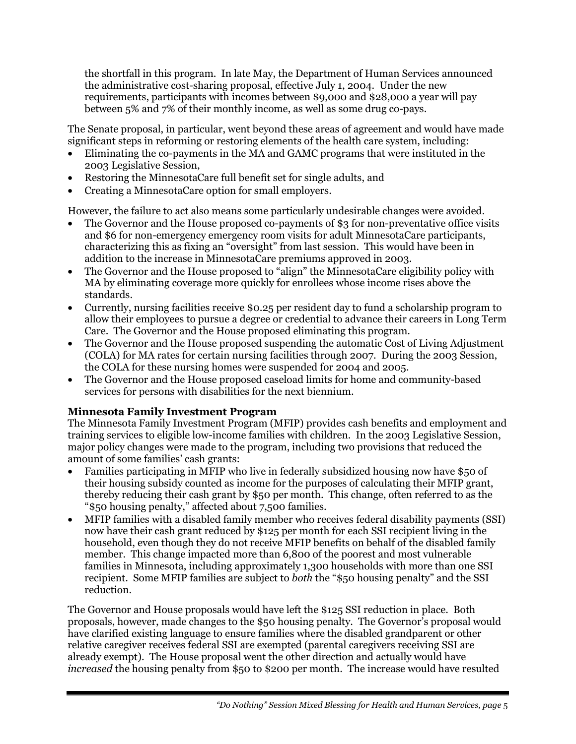the shortfall in this program. In late May, the Department of Human Services announced the administrative cost-sharing proposal, effective July 1, 2004. Under the new requirements, participants with incomes between \$9,000 and \$28,000 a year will pay between 5% and 7% of their monthly income, as well as some drug co-pays.

The Senate proposal, in particular, went beyond these areas of agreement and would have made significant steps in reforming or restoring elements of the health care system, including:

- Eliminating the co-payments in the MA and GAMC programs that were instituted in the 2003 Legislative Session,
- Restoring the MinnesotaCare full benefit set for single adults, and
- Creating a MinnesotaCare option for small employers.

However, the failure to act also means some particularly undesirable changes were avoided.

- The Governor and the House proposed co-payments of \$3 for non-preventative office visits and \$6 for non-emergency emergency room visits for adult MinnesotaCare participants, characterizing this as fixing an "oversight" from last session. This would have been in addition to the increase in MinnesotaCare premiums approved in 2003.
- The Governor and the House proposed to "align" the MinnesotaCare eligibility policy with MA by eliminating coverage more quickly for enrollees whose income rises above the standards.
- Currently, nursing facilities receive \$0.25 per resident day to fund a scholarship program to allow their employees to pursue a degree or credential to advance their careers in Long Term Care. The Governor and the House proposed eliminating this program.
- The Governor and the House proposed suspending the automatic Cost of Living Adjustment (COLA) for MA rates for certain nursing facilities through 2007. During the 2003 Session, the COLA for these nursing homes were suspended for 2004 and 2005.
- The Governor and the House proposed caseload limits for home and community-based services for persons with disabilities for the next biennium.

## **Minnesota Family Investment Program**

The Minnesota Family Investment Program (MFIP) provides cash benefits and employment and training services to eligible low-income families with children. In the 2003 Legislative Session, major policy changes were made to the program, including two provisions that reduced the amount of some families' cash grants:

- Families participating in MFIP who live in federally subsidized housing now have \$50 of their housing subsidy counted as income for the purposes of calculating their MFIP grant, thereby reducing their cash grant by \$50 per month. This change, often referred to as the "\$50 housing penalty," affected about 7,500 families.
- MFIP families with a disabled family member who receives federal disability payments (SSI) now have their cash grant reduced by \$125 per month for each SSI recipient living in the household, even though they do not receive MFIP benefits on behalf of the disabled family member. This change impacted more than 6,800 of the poorest and most vulnerable families in Minnesota, including approximately 1,300 households with more than one SSI recipient. Some MFIP families are subject to *both* the "\$50 housing penalty" and the SSI reduction.

The Governor and House proposals would have left the \$125 SSI reduction in place. Both proposals, however, made changes to the \$50 housing penalty. The Governor's proposal would have clarified existing language to ensure families where the disabled grandparent or other relative caregiver receives federal SSI are exempted (parental caregivers receiving SSI are already exempt). The House proposal went the other direction and actually would have *increased* the housing penalty from \$50 to \$200 per month. The increase would have resulted